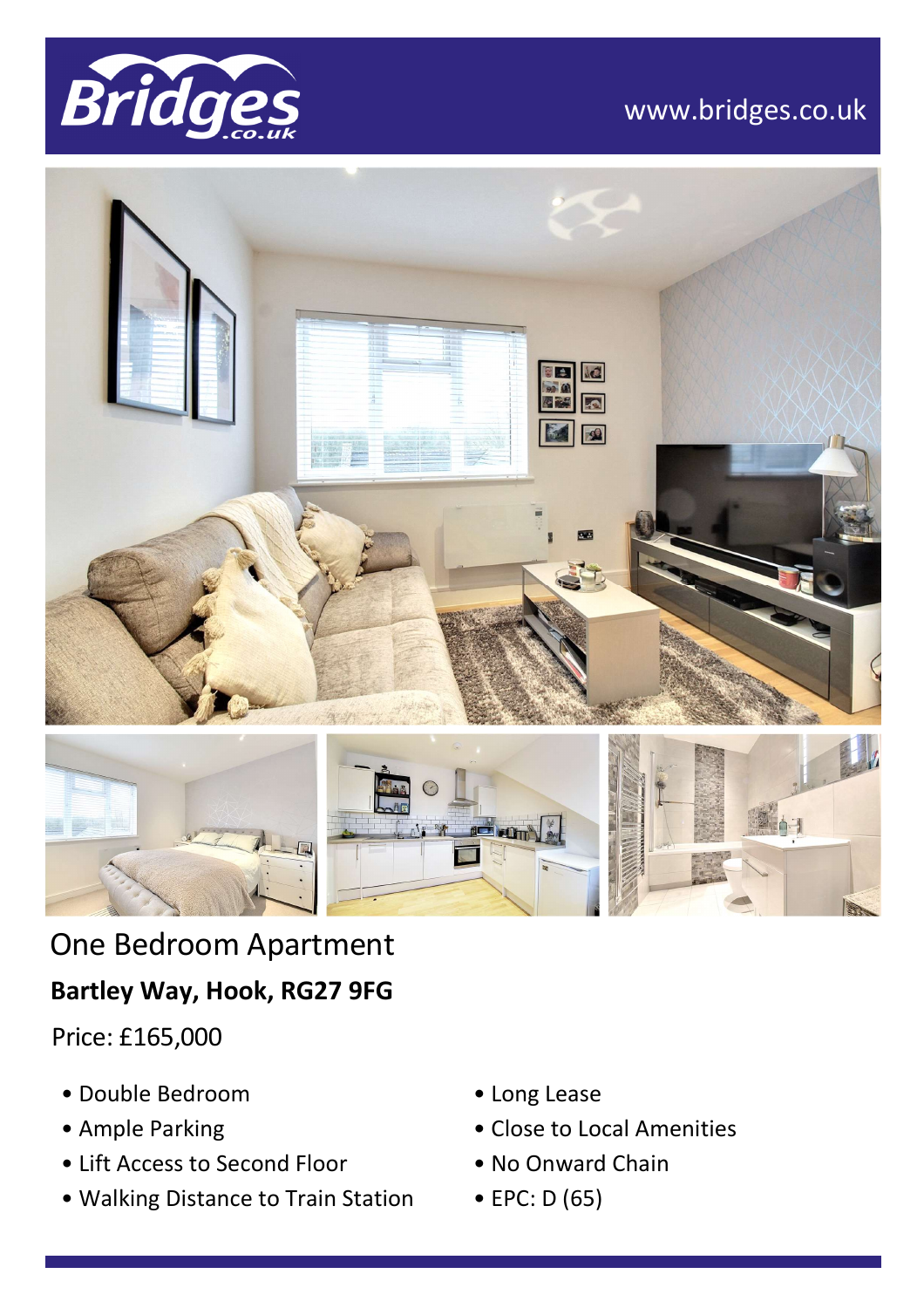

# www.bridges.co.uk



# One Bedroom Apartment **Bartley Way, Hook, RG27 9FG**

Price: £165,000

- Double Bedroom
- Ample Parking
- Lift Access to Second Floor
- Walking Distance to Train Station
- Long Lease
- Close to Local Amenities
- No Onward Chain
- EPC: D (65)